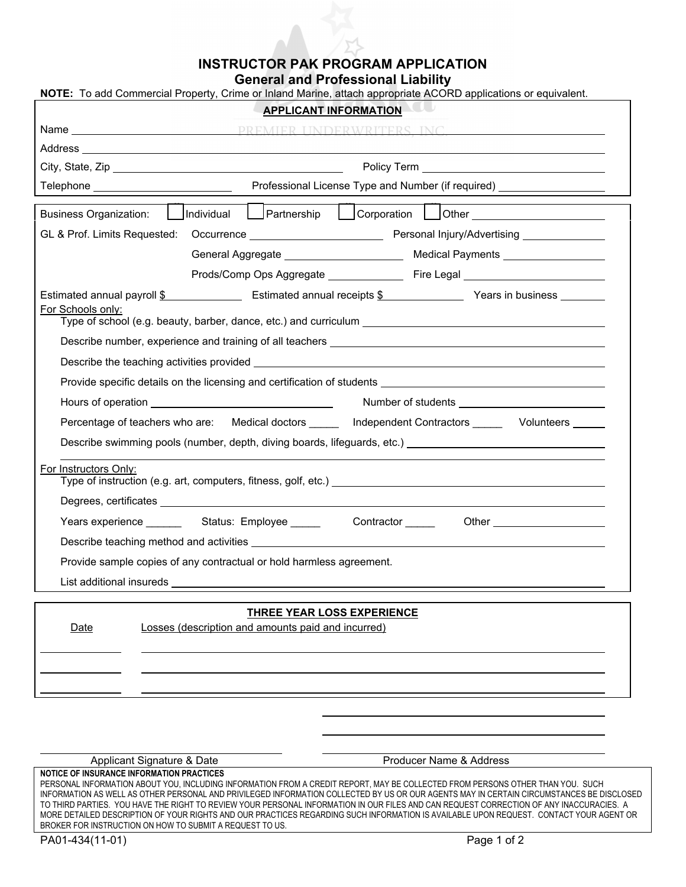## **INSTRUCTOR PAK PROGRAM APPLICATION**

**General and Professional Liability** 

| NOTE: To add Commercial Property, Crime or Inland Marine, attach appropriate ACORD applications or equivalent.<br><b>APPLICANT INFORMATION</b>                                                                                   |                                                                                                                |                   |  |                                 |
|----------------------------------------------------------------------------------------------------------------------------------------------------------------------------------------------------------------------------------|----------------------------------------------------------------------------------------------------------------|-------------------|--|---------------------------------|
|                                                                                                                                                                                                                                  |                                                                                                                |                   |  |                                 |
|                                                                                                                                                                                                                                  |                                                                                                                |                   |  |                                 |
|                                                                                                                                                                                                                                  |                                                                                                                |                   |  |                                 |
|                                                                                                                                                                                                                                  |                                                                                                                |                   |  |                                 |
|                                                                                                                                                                                                                                  |                                                                                                                |                   |  |                                 |
|                                                                                                                                                                                                                                  | Corporation Other ____________________                                                                         |                   |  |                                 |
|                                                                                                                                                                                                                                  |                                                                                                                |                   |  |                                 |
|                                                                                                                                                                                                                                  |                                                                                                                |                   |  |                                 |
|                                                                                                                                                                                                                                  |                                                                                                                |                   |  |                                 |
| Estimated annual payroll \$ [100] Estimated annual receipts \$ [100] Years in business [100] Years in business [200] Nears in business [200] Nears in business [200] Nears in business [200] Nears in business [200] Nears in bu |                                                                                                                |                   |  |                                 |
| For Schools only:<br>Type of school (e.g. beauty, barber, dance, etc.) and curriculum                                                                                                                                            |                                                                                                                |                   |  |                                 |
|                                                                                                                                                                                                                                  |                                                                                                                |                   |  |                                 |
|                                                                                                                                                                                                                                  |                                                                                                                |                   |  |                                 |
|                                                                                                                                                                                                                                  |                                                                                                                |                   |  |                                 |
|                                                                                                                                                                                                                                  |                                                                                                                |                   |  |                                 |
|                                                                                                                                                                                                                                  |                                                                                                                |                   |  |                                 |
| Percentage of teachers who are: Medical doctors ______ Independent Contractors ______ Volunteers _____                                                                                                                           |                                                                                                                |                   |  |                                 |
| Describe swimming pools (number, depth, diving boards, lifeguards, etc.) ___________________________                                                                                                                             |                                                                                                                |                   |  |                                 |
| For Instructors Only:<br>Type of instruction (e.g. art, computers, fitness, golf, etc.) example and the state of instruction (e.g. art, computers, fitness, golf, etc.)                                                          |                                                                                                                |                   |  |                                 |
|                                                                                                                                                                                                                                  |                                                                                                                |                   |  |                                 |
|                                                                                                                                                                                                                                  | Years experience _________ Status: Employee ______                                                             | Contractor ______ |  | Other _________________________ |
|                                                                                                                                                                                                                                  |                                                                                                                |                   |  |                                 |
| Provide sample copies of any contractual or hold harmless agreement.                                                                                                                                                             |                                                                                                                |                   |  |                                 |
|                                                                                                                                                                                                                                  | List additional insureds and the state of the state of the state of the state of the state of the state of the |                   |  |                                 |
|                                                                                                                                                                                                                                  |                                                                                                                |                   |  |                                 |
| <b>THREE YEAR LOSS EXPERIENCE</b><br>Losses (description and amounts paid and incurred)<br>Date                                                                                                                                  |                                                                                                                |                   |  |                                 |
|                                                                                                                                                                                                                                  |                                                                                                                |                   |  |                                 |
|                                                                                                                                                                                                                                  |                                                                                                                |                   |  |                                 |
|                                                                                                                                                                                                                                  |                                                                                                                |                   |  |                                 |
|                                                                                                                                                                                                                                  |                                                                                                                |                   |  |                                 |
|                                                                                                                                                                                                                                  |                                                                                                                |                   |  |                                 |

Applicant Signature & Date **Producer Name & Address** 

**NOTICE OF INSURANCE INFORMATION PRACTICES** 

PERSONAL INFORMATION ABOUT YOU, INCLUDING INFORMATION FROM A CREDIT REPORT, MAY BE COLLECTED FROM PERSONS OTHER THAN YOU. SUCH INFORMATION AS WELL AS OTHER PERSONAL AND PRIVILEGED INFORMATION COLLECTED BY US OR OUR AGENTS MAY IN CERTAIN CIRCUMSTANCES BE DISCLOSED TO THIRD PARTIES. YOU HAVE THE RIGHT TO REVIEW YOUR PERSONAL INFORMATION IN OUR FILES AND CAN REQUEST CORRECTION OF ANY INACCURACIES. A MORE DETAILED DESCRIPTION OF YOUR RIGHTS AND OUR PRACTICES REGARDING SUCH INFORMATION IS AVAILABLE UPON REQUEST. CONTACT YOUR AGENT OR BROKER FOR INSTRUCTION ON HOW TO SUBMIT A REQUEST TO US.